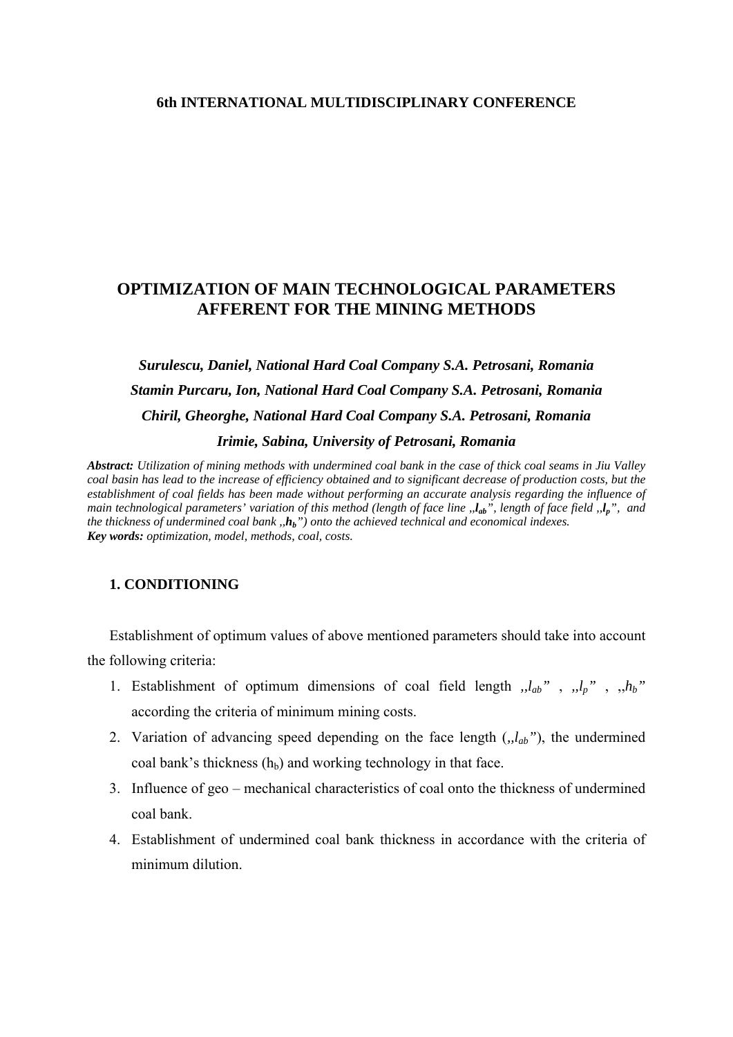## **6th INTERNATIONAL MULTIDISCIPLINARY CONFERENCE**

# **OPTIMIZATION OF MAIN TECHNOLOGICAL PARAMETERS AFFERENT FOR THE MINING METHODS**

# *Surulescu, Daniel, National Hard Coal Company S.A. Petrosani, Romania Stamin Purcaru, Ion, National Hard Coal Company S.A. Petrosani, Romania Chiril, Gheorghe, National Hard Coal Company S.A. Petrosani, Romania Irimie, Sabina, University of Petrosani, Romania*

*Abstract: Utilization of mining methods with undermined coal bank in the case of thick coal seams in Jiu Valley coal basin has lead to the increase of efficiency obtained and to significant decrease of production costs, but the establishment of coal fields has been made without performing an accurate analysis regarding the influence of main technological parameters' variation of this method (length of face line "* $l_n$ *", length of face field "* $l_n$ *", and*  $l_n$ *the thickness of undermined coal bank ,,hb") onto the achieved technical and economical indexes. Key words: optimization, model, methods, coal, costs.* 

# **1. CONDITIONING**

Establishment of optimum values of above mentioned parameters should take into account the following criteria:

- 1. Establishment of optimum dimensions of coal field length *,,lab"* , *,,lp"* , ,,*hb"* according the criteria of minimum mining costs.
- 2. Variation of advancing speed depending on the face length (*,,lab"*), the undermined coal bank's thickness  $(h_b)$  and working technology in that face.
- 3. Influence of geo mechanical characteristics of coal onto the thickness of undermined coal bank.
- 4. Establishment of undermined coal bank thickness in accordance with the criteria of minimum dilution.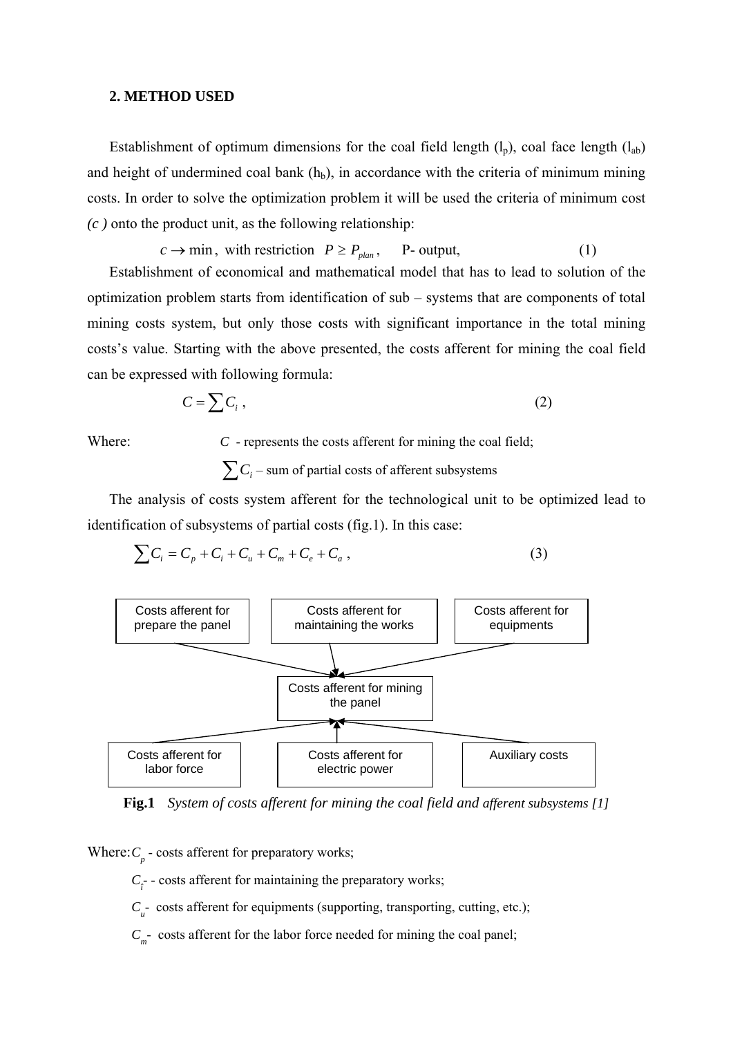### **2. METHOD USED**

Establishment of optimum dimensions for the coal field length  $(l_p)$ , coal face length  $(l_{ab})$ and height of undermined coal bank  $(h_b)$ , in accordance with the criteria of minimum mining costs. In order to solve the optimization problem it will be used the criteria of minimum cost *(c )* onto the product unit, as the following relationship:

 $c \rightarrow \min$ , with restriction  $P \ge P_{plan}$ , P- output, (1) Establishment of economical and mathematical model that has to lead to solution of the optimization problem starts from identification of sub – systems that are components of total mining costs system, but only those costs with significant importance in the total mining costs's value. Starting with the above presented, the costs afferent for mining the coal field can be expressed with following formula:

$$
C = \sum C_i \,,\tag{2}
$$

Where: *C* - represents the costs afferent for mining the coal field:

 $\sum C_i$  – sum of partial costs of afferent subsystems

The analysis of costs system afferent for the technological unit to be optimized lead to identification of subsystems of partial costs (fig.1). In this case:

$$
\sum C_i = C_p + C_i + C_u + C_m + C_e + C_a , \qquad (3)
$$



**Fig.1** *System of costs afferent for mining the coal field and afferent subsystems [1]* 

Where:  $C_p$  - costs afferent for preparatory works;

 $C<sub>i</sub>$  - costs afferent for maintaining the preparatory works;

- $C_{u}$  costs afferent for equipments (supporting, transporting, cutting, etc.);
- $C_m$  costs afferent for the labor force needed for mining the coal panel;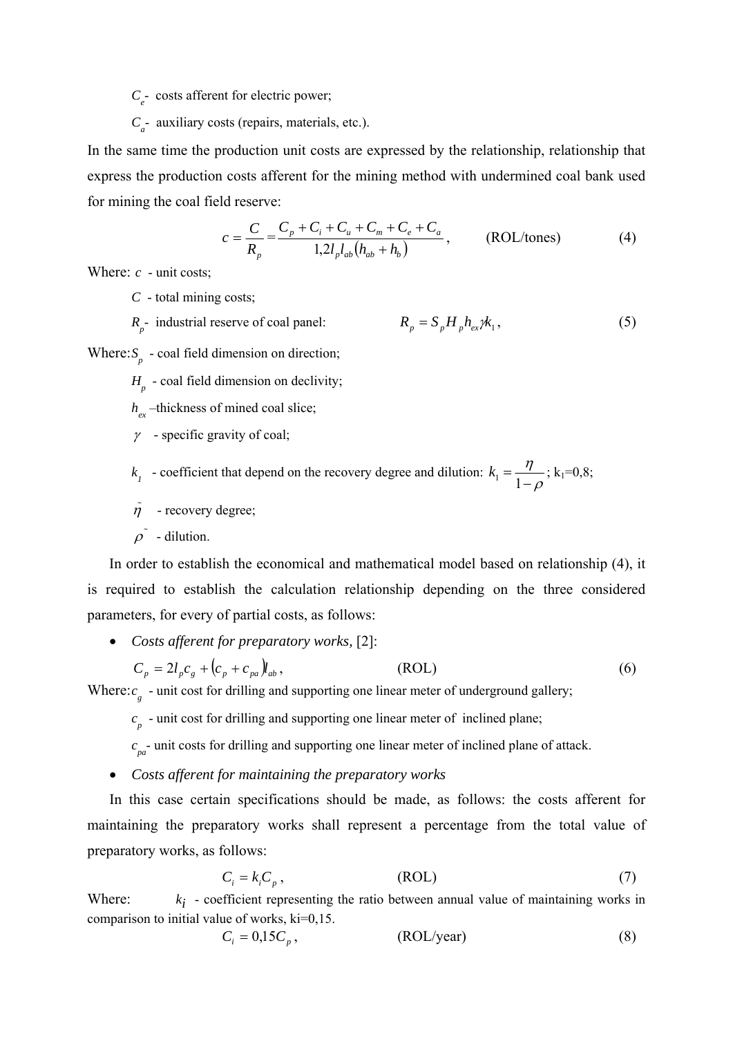*Ce* - costs afferent for electric power;

*Ca* - auxiliary costs (repairs, materials, etc.).

In the same time the production unit costs are expressed by the relationship, relationship that express the production costs afferent for the mining method with undermined coal bank used for mining the coal field reserve:

$$
c = \frac{C}{R_p} = \frac{C_p + C_i + C_u + C_m + C_e + C_a}{1,2l_p l_{ab} (h_{ab} + h_b)},
$$
 (ROL/tones) (4)

Where: *c* - unit costs;

*C* - total mining costs;

$$
R_p
$$
 - industrial reserve of coal panel:  $R_p = S_p H_p h_{ex} \chi_1$ , (5)

Where:  $S_p$  - coal field dimension on direction;

- $H_p$  coal field dimension on declivity;
- $h_{ex}$  –thickness of mined coal slice;
- γ specific gravity of coal;

 $k<sub>1</sub>$  - coefficient that depend on the recovery degree and dilution: ρ  $k_1 = \frac{\eta}{1-\rho}$ ; k<sub>1</sub>=0,8;

 $\tilde{\eta}$  - recovery degree;

 $\tilde{\rho}$  - dilution.

In order to establish the economical and mathematical model based on relationship (4), it is required to establish the calculation relationship depending on the three considered parameters, for every of partial costs, as follows:

• *Costs afferent for preparatory works,* [2]:

$$
C_p = 2l_p c_g + (c_p + c_{pa})l_{ab},
$$
 (ROI) (6)

Where: $c_g$  - unit cost for drilling and supporting one linear meter of underground gallery;

 $c_p$  - unit cost for drilling and supporting one linear meter of inclined plane;

 $c_{pa}$ - unit costs for drilling and supporting one linear meter of inclined plane of attack.

• *Costs afferent for maintaining the preparatory works*

In this case certain specifications should be made, as follows: the costs afferent for maintaining the preparatory works shall represent a percentage from the total value of preparatory works, as follows:

$$
C_i = k_i C_p, \qquad (ROL)
$$
 (7)

Where:  $k_i$  - coefficient representing the ratio between annual value of maintaining works in comparison to initial value of works, ki=0,15.

$$
C_i = 0.15C_p, \qquad (ROL/year) \tag{8}
$$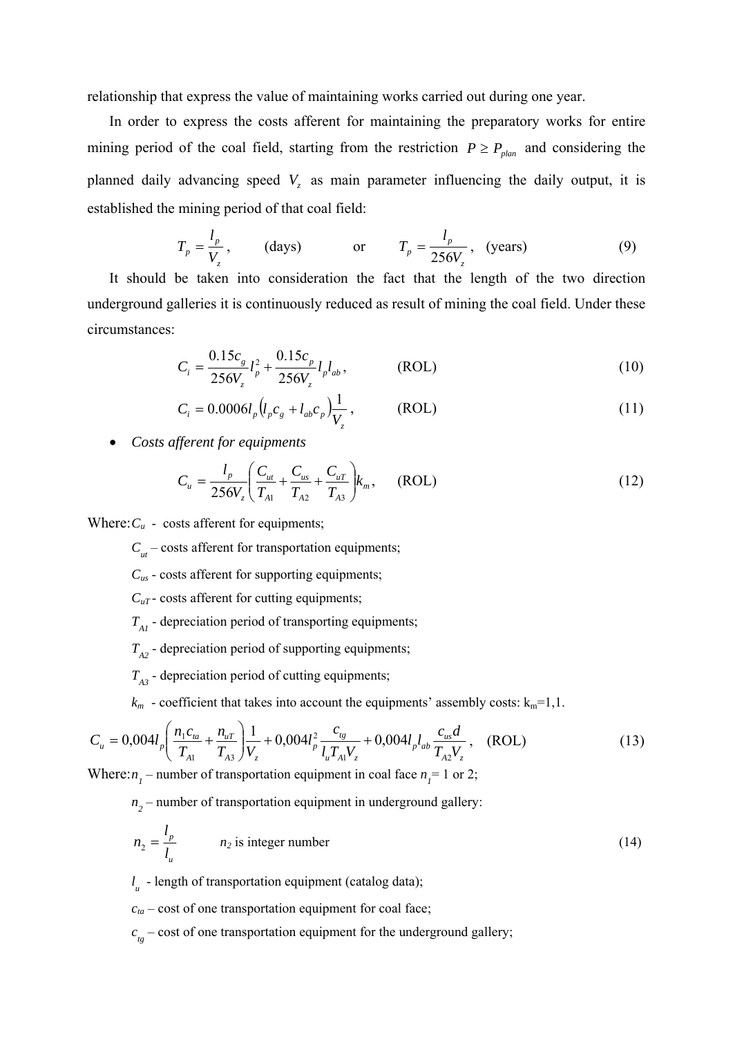relationship that express the value of maintaining works carried out during one year.

In order to express the costs afferent for maintaining the preparatory works for entire mining period of the coal field, starting from the restriction  $P \ge P_{plan}$  and considering the planned daily advancing speed  $V<sub>z</sub>$  as main parameter influencing the daily output, it is established the mining period of that coal field:

$$
T_p = \frac{l_p}{V_z}, \qquad \text{(days)} \qquad \text{or} \qquad T_p = \frac{l_p}{256V_z}, \text{ (years)} \tag{9}
$$

It should be taken into consideration the fact that the length of the two direction underground galleries it is continuously reduced as result of mining the coal field. Under these circumstances:

$$
C_i = \frac{0.15c_s}{256V_z} l_p^2 + \frac{0.15c_p}{256V_z} l_p l_{ab},
$$
 (ROL) (10)

$$
C_i = 0.0006 l_p \left( l_p c_g + l_{ab} c_p \right) \frac{1}{V_z}, \qquad \text{(ROL)} \tag{11}
$$

• *Costs afferent for equipments*

$$
C_u = \frac{l_p}{256V_z} \left( \frac{C_{ut}}{T_{A1}} + \frac{C_{us}}{T_{A2}} + \frac{C_{uT}}{T_{A3}} \right) k_m, \quad \text{(ROL)} \tag{12}
$$

Where:  $C_u$  - costs afferent for equipments;

 $C_{\mu\nu}$  – costs afferent for transportation equipments;

*Cus* - costs afferent for supporting equipments;

*CuT* - costs afferent for cutting equipments;

 $T_{AI}$  - depreciation period of transporting equipments;

 $T_{A2}$  - depreciation period of supporting equipments;

 $T_{A3}$  - depreciation period of cutting equipments;

 $k_m$  - coefficient that takes into account the equipments' assembly costs:  $k_m=1,1$ .

$$
C_{u} = 0.004l_{p} \left( \frac{n_{1}c_{ta}}{T_{A1}} + \frac{n_{uT}}{T_{A3}} \right) \frac{1}{V_{z}} + 0.004l_{p}^{2} \frac{c_{tg}}{l_{u}T_{A1}V_{z}} + 0.004l_{p}l_{ab} \frac{c_{us}d}{T_{A2}V_{z}}, \quad \text{(ROL)} \tag{13}
$$

Where:  $n_1$  – number of transportation equipment in coal face  $n_1 = 1$  or 2;

 $n<sub>2</sub>$  – number of transportation equipment in underground gallery:

$$
n_2 = \frac{l_p}{l_u} \qquad n_2 \text{ is integer number} \tag{14}
$$

*l u* - length of transportation equipment (catalog data);

 $c_{ta}$  – cost of one transportation equipment for coal face;

 $c_{\text{tg}}$  – cost of one transportation equipment for the underground gallery;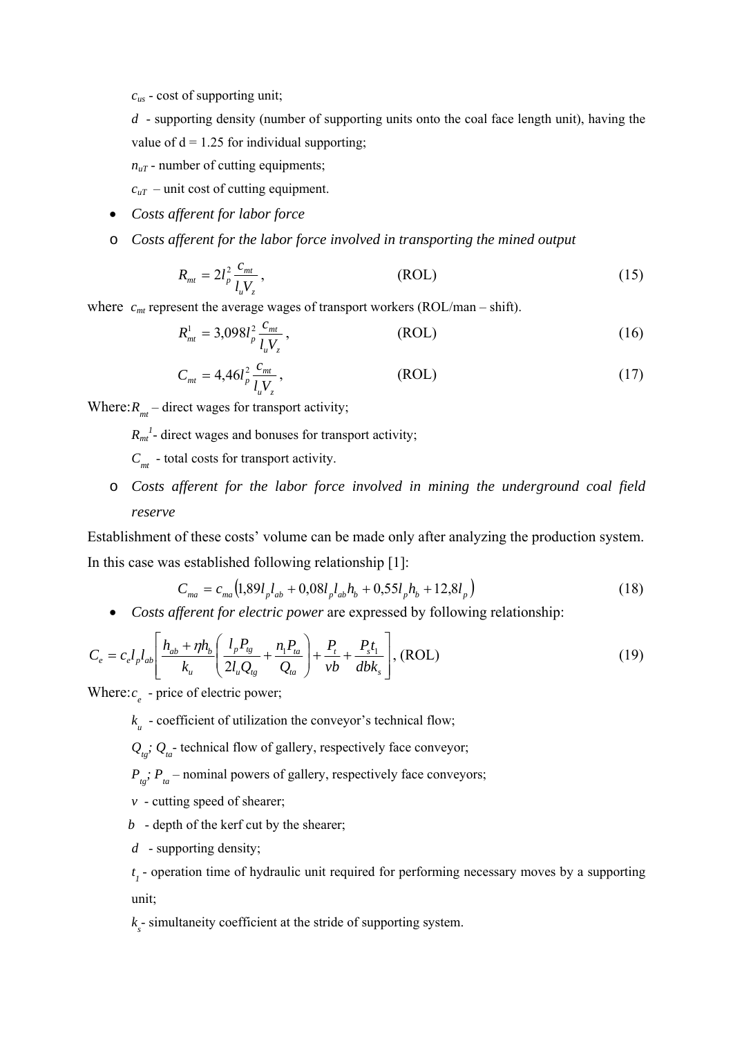*cus* - cost of supporting unit;

 $d$  - supporting density (number of supporting units onto the coal face length unit), having the value of  $d = 1.25$  for individual supporting;

- $n_{\mu}$  number of cutting equipments;
- $c_{uT}$  unit cost of cutting equipment.
- *Costs afferent for labor force*
- o *Costs afferent for the labor force involved in transporting the mined output*

$$
R_{mt} = 2l_p^2 \frac{c_{mt}}{l_u V_z},\tag{ROL}
$$

where  $c_{mt}$  represent the average wages of transport workers (ROL/man – shift).

$$
R_{mt}^{1} = 3,098l_{p}^{2} \frac{c_{mt}}{l_{u}V_{z}}, \qquad (ROL)
$$
 (16)

$$
C_{mt} = 4,46l_p^2 \frac{c_{mt}}{l_u V_z},
$$
 (ROL) (17)

Where: $R_{mt}$  – direct wages for transport activity;

 $R_{mt}$ <sup>1</sup> direct wages and bonuses for transport activity;

*C<sub>mt</sub>* - total costs for transport activity.

o *Costs afferent for the labor force involved in mining the underground coal field reserve* 

Establishment of these costs' volume can be made only after analyzing the production system. In this case was established following relationship [1]:

$$
C_{ma} = c_{ma} \left( 1,89 l_p l_{ab} + 0,08 l_p l_{ab} h_b + 0,55 l_p h_b + 12,8 l_p \right)
$$
\n
$$
C_{ma} = c_{ma} \left( 1,89 l_p l_{ab} + 0,08 l_p l_{ab} h_b + 0,55 l_p h_b + 12,8 l_p \right)
$$
\n
$$
(18)
$$

• *Costs afferent for electric power* are expressed by following relationship:

$$
C_e = c_e I_p I_{ab} \left[ \frac{h_{ab} + \eta h_b}{k_u} \left( \frac{I_p P_{tg}}{2l_u Q_{tg}} + \frac{n_1 P_{ta}}{Q_{ta}} \right) + \frac{P_t}{\nu b} + \frac{P_s t_1}{db k_s} \right], \text{(ROL)}
$$
 (19)

Where:  $c_e$  - price of electric power;

 $k_{\mu}$  - coefficient of utilization the conveyor's technical flow;

 $Q_{tq}$ ;  $Q_{tq}$ - technical flow of gallery, respectively face conveyor;

 $P_{t_g}$ ;  $P_{ta}$  – nominal powers of gallery, respectively face conveyors;

- *v* cutting speed of shearer;
- *b*  depth of the kerf cut by the shearer;
- *d* supporting density;

*t <sup>1</sup>*- operation time of hydraulic unit required for performing necessary moves by a supporting unit;

 $k<sub>s</sub>$ - simultaneity coefficient at the stride of supporting system.